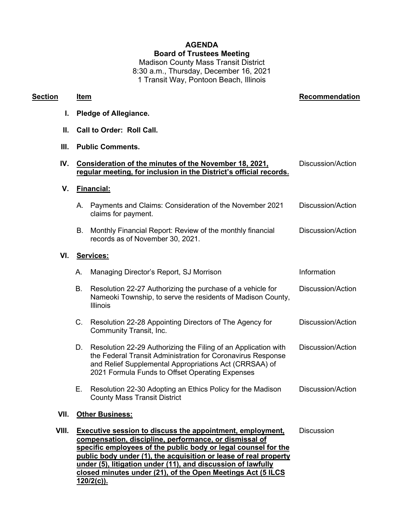# **AGENDA Board of Trustees Meeting** Madison County Mass Transit District 8:30 a.m., Thursday, December 16, 2021 1 Transit Way, Pontoon Beach, Illinois

# **Section Item Recommendation**

- **I. Pledge of Allegiance.**
- **II. Call to Order: Roll Call.**

### **III. Public Comments.**

| IV.   |                                                                                                                                                                                                                                                                                                                                                                                                                      | Consideration of the minutes of the November 18, 2021,<br>regular meeting, for inclusion in the District's official records.                                                                                                               | <b>Discussion/Action</b> |
|-------|----------------------------------------------------------------------------------------------------------------------------------------------------------------------------------------------------------------------------------------------------------------------------------------------------------------------------------------------------------------------------------------------------------------------|--------------------------------------------------------------------------------------------------------------------------------------------------------------------------------------------------------------------------------------------|--------------------------|
| V.    | <b>Financial:</b>                                                                                                                                                                                                                                                                                                                                                                                                    |                                                                                                                                                                                                                                            |                          |
|       | А.                                                                                                                                                                                                                                                                                                                                                                                                                   | Payments and Claims: Consideration of the November 2021<br>claims for payment.                                                                                                                                                             | Discussion/Action        |
|       | <b>B.</b>                                                                                                                                                                                                                                                                                                                                                                                                            | Monthly Financial Report: Review of the monthly financial<br>records as of November 30, 2021.                                                                                                                                              | Discussion/Action        |
| VI.   | Services:                                                                                                                                                                                                                                                                                                                                                                                                            |                                                                                                                                                                                                                                            |                          |
|       | Α.                                                                                                                                                                                                                                                                                                                                                                                                                   | Managing Director's Report, SJ Morrison                                                                                                                                                                                                    | Information              |
|       | <b>B.</b>                                                                                                                                                                                                                                                                                                                                                                                                            | Resolution 22-27 Authorizing the purchase of a vehicle for<br>Nameoki Township, to serve the residents of Madison County,<br><b>Illinois</b>                                                                                               | Discussion/Action        |
|       | C.                                                                                                                                                                                                                                                                                                                                                                                                                   | Resolution 22-28 Appointing Directors of The Agency for<br>Community Transit, Inc.                                                                                                                                                         | Discussion/Action        |
|       | D.                                                                                                                                                                                                                                                                                                                                                                                                                   | Resolution 22-29 Authorizing the Filing of an Application with<br>the Federal Transit Administration for Coronavirus Response<br>and Relief Supplemental Appropriations Act (CRRSAA) of<br>2021 Formula Funds to Offset Operating Expenses | Discussion/Action        |
|       | Е.                                                                                                                                                                                                                                                                                                                                                                                                                   | Resolution 22-30 Adopting an Ethics Policy for the Madison<br><b>County Mass Transit District</b>                                                                                                                                          | Discussion/Action        |
| VII.  | <b>Other Business:</b>                                                                                                                                                                                                                                                                                                                                                                                               |                                                                                                                                                                                                                                            |                          |
| VIII. | <b>Executive session to discuss the appointment, employment,</b><br><b>Discussion</b><br>compensation, discipline, performance, or dismissal of<br>specific employees of the public body or legal counsel for the<br>public body under (1), the acquisition or lease of real property<br>under (5), litigation under (11), and discussion of lawfully<br>closed minutes under (21), of the Open Meetings Act (5 ILCS |                                                                                                                                                                                                                                            |                          |

**120/2(c)).**